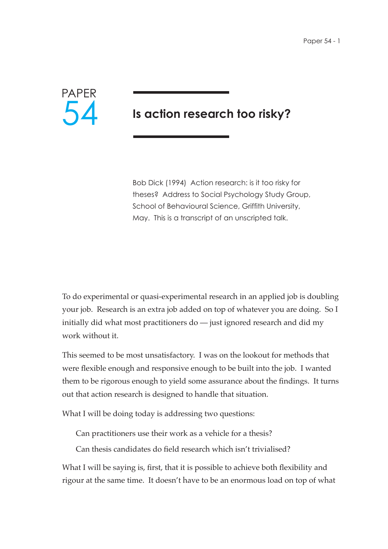

# **Is action research too risky?**

Bob Dick (1994) Action research: is it too risky for theses? Address to Social Psychology Study Group, School of Behavioural Science, Griffith University, May. This is a transcript of an unscripted talk.

To do experimental or quasi-experimental research in an applied job is doubling your job. Research is an extra job added on top of whatever you are doing. So I initially did what most practitioners do — just ignored research and did my work without it.

This seemed to be most unsatisfactory. I was on the lookout for methods that were flexible enough and responsive enough to be built into the job. I wanted them to be rigorous enough to yield some assurance about the findings. It turns out that action research is designed to handle that situation.

What I will be doing today is addressing two questions:

Can practitioners use their work as a vehicle for a thesis?

Can thesis candidates do field research which isn't trivialised?

What I will be saying is, first, that it is possible to achieve both flexibility and rigour at the same time. It doesn't have to be an enormous load on top of what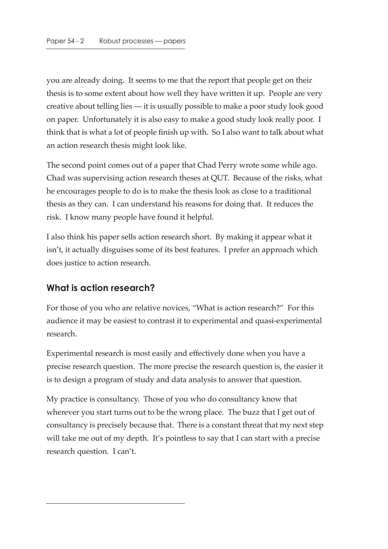you are already doing. It seems to me that the report that people get on their thesis is to some extent about how well they have written it up. People are very creative about telling lies — it is usually possible to make a poor study look good on paper. Unfortunately it is also easy to make a good study look really poor. I think that is what a lot of people finish up with. So I also want to talk about what an action research thesis might look like.

The second point comes out of a paper that Chad Perry wrote some while ago. Chad was supervising action research theses at QUT. Because of the risks, what he encourages people to do is to make the thesis look as close to a traditional thesis as they can. I can understand his reasons for doing that. It reduces the risk. I know many people have found it helpful.

I also think his paper sells action research short. By making it appear what it isn't, it actually disguises some of its best features. I prefer an approach which does justice to action research.

# **What is action research?**

For those of you who are relative novices, "What is action research?" For this audience it may be easiest to contrast it to experimental and quasi-experimental research.

Experimental research is most easily and effectively done when you have a precise research question. The more precise the research question is, the easier it is to design a program of study and data analysis to answer that question.

My practice is consultancy. Those of you who do consultancy know that wherever you start turns out to be the wrong place. The buzz that I get out of consultancy is precisely because that. There is a constant threat that my next step will take me out of my depth. It's pointless to say that I can start with a precise research question. I can't.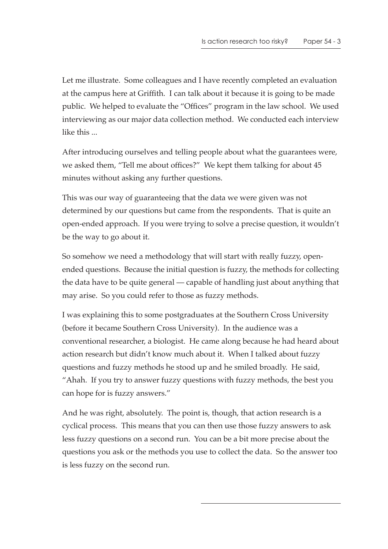Let me illustrate. Some colleagues and I have recently completed an evaluation at the campus here at Griffith. I can talk about it because it is going to be made public. We helped to evaluate the "Offices" program in the law school. We used interviewing as our major data collection method. We conducted each interview like this ...

After introducing ourselves and telling people about what the guarantees were, we asked them, "Tell me about offices?" We kept them talking for about 45 minutes without asking any further questions.

This was our way of guaranteeing that the data we were given was not determined by our questions but came from the respondents. That is quite an open-ended approach. If you were trying to solve a precise question, it wouldn't be the way to go about it.

So somehow we need a methodology that will start with really fuzzy, openended questions. Because the initial question is fuzzy, the methods for collecting the data have to be quite general — capable of handling just about anything that may arise. So you could refer to those as fuzzy methods.

I was explaining this to some postgraduates at the Southern Cross University (before it became Southern Cross University). In the audience was a conventional researcher, a biologist. He came along because he had heard about action research but didn't know much about it. When I talked about fuzzy questions and fuzzy methods he stood up and he smiled broadly. He said, "Ahah. If you try to answer fuzzy questions with fuzzy methods, the best you can hope for is fuzzy answers."

And he was right, absolutely. The point is, though, that action research is a cyclical process. This means that you can then use those fuzzy answers to ask less fuzzy questions on a second run. You can be a bit more precise about the questions you ask or the methods you use to collect the data. So the answer too is less fuzzy on the second run.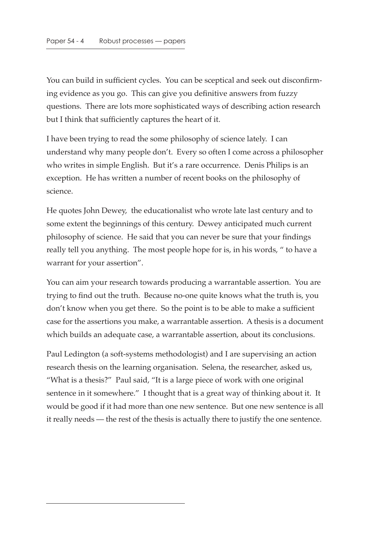You can build in sufficient cycles. You can be sceptical and seek out disconfirming evidence as you go. This can give you definitive answers from fuzzy questions. There are lots more sophisticated ways of describing action research but I think that sufficiently captures the heart of it.

I have been trying to read the some philosophy of science lately. I can understand why many people don't. Every so often I come across a philosopher who writes in simple English. But it's a rare occurrence. Denis Philips is an exception. He has written a number of recent books on the philosophy of science.

He quotes John Dewey, the educationalist who wrote late last century and to some extent the beginnings of this century. Dewey anticipated much current philosophy of science. He said that you can never be sure that your findings really tell you anything. The most people hope for is, in his words, " to have a warrant for your assertion".

You can aim your research towards producing a warrantable assertion. You are trying to find out the truth. Because no-one quite knows what the truth is, you don't know when you get there. So the point is to be able to make a sufficient case for the assertions you make, a warrantable assertion. A thesis is a document which builds an adequate case, a warrantable assertion, about its conclusions.

Paul Ledington (a soft-systems methodologist) and I are supervising an action research thesis on the learning organisation. Selena, the researcher, asked us, "What is a thesis?" Paul said, "It is a large piece of work with one original sentence in it somewhere." I thought that is a great way of thinking about it. It would be good if it had more than one new sentence. But one new sentence is all it really needs — the rest of the thesis is actually there to justify the one sentence.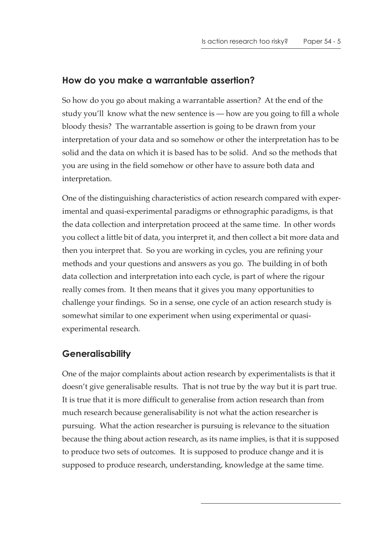#### **How do you make a warrantable assertion?**

So how do you go about making a warrantable assertion? At the end of the study you'll know what the new sentence is — how are you going to fill a whole bloody thesis? The warrantable assertion is going to be drawn from your interpretation of your data and so somehow or other the interpretation has to be solid and the data on which it is based has to be solid. And so the methods that you are using in the field somehow or other have to assure both data and interpretation.

One of the distinguishing characteristics of action research compared with experimental and quasi-experimental paradigms or ethnographic paradigms, is that the data collection and interpretation proceed at the same time. In other words you collect a little bit of data, you interpret it, and then collect a bit more data and then you interpret that. So you are working in cycles, you are refining your methods and your questions and answers as you go. The building in of both data collection and interpretation into each cycle, is part of where the rigour really comes from. It then means that it gives you many opportunities to challenge your findings. So in a sense, one cycle of an action research study is somewhat similar to one experiment when using experimental or quasiexperimental research.

### **Generalisability**

One of the major complaints about action research by experimentalists is that it doesn't give generalisable results. That is not true by the way but it is part true. It is true that it is more difficult to generalise from action research than from much research because generalisability is not what the action researcher is pursuing. What the action researcher is pursuing is relevance to the situation because the thing about action research, as its name implies, is that it is supposed to produce two sets of outcomes. It is supposed to produce change and it is supposed to produce research, understanding, knowledge at the same time.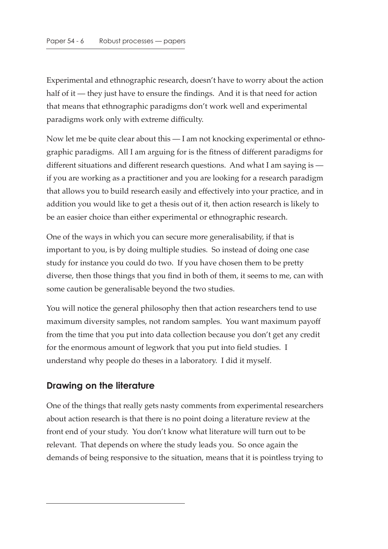Experimental and ethnographic research, doesn't have to worry about the action half of it — they just have to ensure the findings. And it is that need for action that means that ethnographic paradigms don't work well and experimental paradigms work only with extreme difficulty.

Now let me be quite clear about this — I am not knocking experimental or ethnographic paradigms. All I am arguing for is the fitness of different paradigms for different situations and different research questions. And what I am saying is if you are working as a practitioner and you are looking for a research paradigm that allows you to build research easily and effectively into your practice, and in addition you would like to get a thesis out of it, then action research is likely to be an easier choice than either experimental or ethnographic research.

One of the ways in which you can secure more generalisability, if that is important to you, is by doing multiple studies. So instead of doing one case study for instance you could do two. If you have chosen them to be pretty diverse, then those things that you find in both of them, it seems to me, can with some caution be generalisable beyond the two studies.

You will notice the general philosophy then that action researchers tend to use maximum diversity samples, not random samples. You want maximum payoff from the time that you put into data collection because you don't get any credit for the enormous amount of legwork that you put into field studies. I understand why people do theses in a laboratory. I did it myself.

# **Drawing on the literature**

One of the things that really gets nasty comments from experimental researchers about action research is that there is no point doing a literature review at the front end of your study. You don't know what literature will turn out to be relevant. That depends on where the study leads you. So once again the demands of being responsive to the situation, means that it is pointless trying to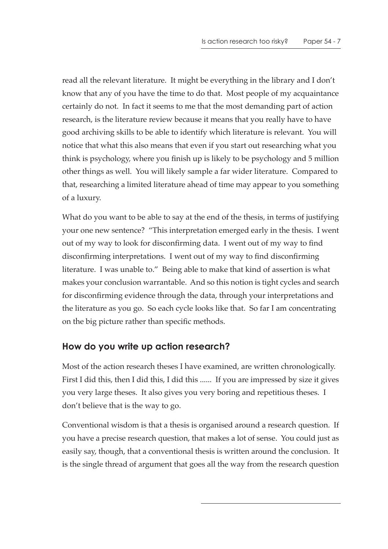read all the relevant literature. It might be everything in the library and I don't know that any of you have the time to do that. Most people of my acquaintance certainly do not. In fact it seems to me that the most demanding part of action research, is the literature review because it means that you really have to have good archiving skills to be able to identify which literature is relevant. You will notice that what this also means that even if you start out researching what you think is psychology, where you finish up is likely to be psychology and 5 million other things as well. You will likely sample a far wider literature. Compared to that, researching a limited literature ahead of time may appear to you something of a luxury.

What do you want to be able to say at the end of the thesis, in terms of justifying your one new sentence? "This interpretation emerged early in the thesis. I went out of my way to look for disconfirming data. I went out of my way to find disconfirming interpretations. I went out of my way to find disconfirming literature. I was unable to." Being able to make that kind of assertion is what makes your conclusion warrantable. And so this notion is tight cycles and search for disconfirming evidence through the data, through your interpretations and the literature as you go. So each cycle looks like that. So far I am concentrating on the big picture rather than specific methods.

# **How do you write up action research?**

Most of the action research theses I have examined, are written chronologically. First I did this, then I did this, I did this ...... If you are impressed by size it gives you very large theses. It also gives you very boring and repetitious theses. I don't believe that is the way to go.

Conventional wisdom is that a thesis is organised around a research question. If you have a precise research question, that makes a lot of sense. You could just as easily say, though, that a conventional thesis is written around the conclusion. It is the single thread of argument that goes all the way from the research question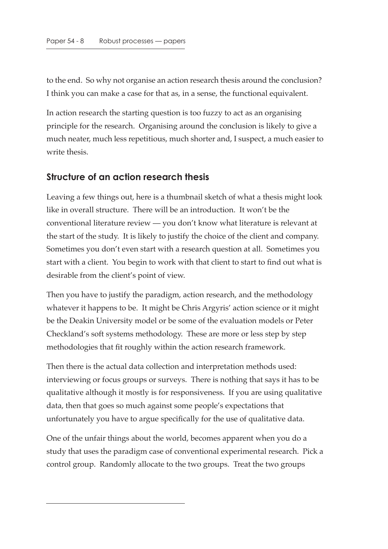to the end. So why not organise an action research thesis around the conclusion? I think you can make a case for that as, in a sense, the functional equivalent.

In action research the starting question is too fuzzy to act as an organising principle for the research. Organising around the conclusion is likely to give a much neater, much less repetitious, much shorter and, I suspect, a much easier to write thesis.

#### **Structure of an action research thesis**

Leaving a few things out, here is a thumbnail sketch of what a thesis might look like in overall structure. There will be an introduction. It won't be the conventional literature review — you don't know what literature is relevant at the start of the study. It is likely to justify the choice of the client and company. Sometimes you don't even start with a research question at all. Sometimes you start with a client. You begin to work with that client to start to find out what is desirable from the client's point of view.

Then you have to justify the paradigm, action research, and the methodology whatever it happens to be. It might be Chris Argyris' action science or it might be the Deakin University model or be some of the evaluation models or Peter Checkland's soft systems methodology. These are more or less step by step methodologies that fit roughly within the action research framework.

Then there is the actual data collection and interpretation methods used: interviewing or focus groups or surveys. There is nothing that says it has to be qualitative although it mostly is for responsiveness. If you are using qualitative data, then that goes so much against some people's expectations that unfortunately you have to argue specifically for the use of qualitative data.

One of the unfair things about the world, becomes apparent when you do a study that uses the paradigm case of conventional experimental research. Pick a control group. Randomly allocate to the two groups. Treat the two groups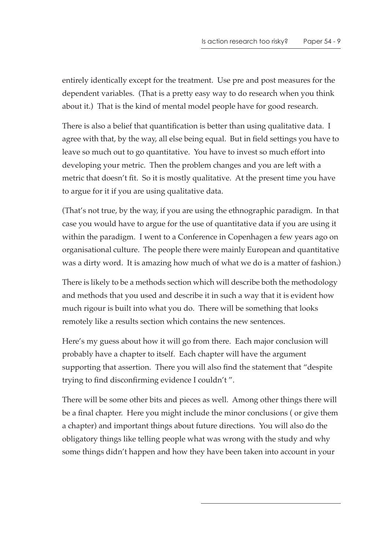entirely identically except for the treatment. Use pre and post measures for the dependent variables. (That is a pretty easy way to do research when you think about it.) That is the kind of mental model people have for good research.

There is also a belief that quantification is better than using qualitative data. I agree with that, by the way, all else being equal. But in field settings you have to leave so much out to go quantitative. You have to invest so much effort into developing your metric. Then the problem changes and you are left with a metric that doesn't fit. So it is mostly qualitative. At the present time you have to argue for it if you are using qualitative data.

(That's not true, by the way, if you are using the ethnographic paradigm. In that case you would have to argue for the use of quantitative data if you are using it within the paradigm. I went to a Conference in Copenhagen a few years ago on organisational culture. The people there were mainly European and quantitative was a dirty word. It is amazing how much of what we do is a matter of fashion.)

There is likely to be a methods section which will describe both the methodology and methods that you used and describe it in such a way that it is evident how much rigour is built into what you do. There will be something that looks remotely like a results section which contains the new sentences.

Here's my guess about how it will go from there. Each major conclusion will probably have a chapter to itself. Each chapter will have the argument supporting that assertion. There you will also find the statement that "despite trying to find disconfirming evidence I couldn't ".

There will be some other bits and pieces as well. Among other things there will be a final chapter. Here you might include the minor conclusions ( or give them a chapter) and important things about future directions. You will also do the obligatory things like telling people what was wrong with the study and why some things didn't happen and how they have been taken into account in your